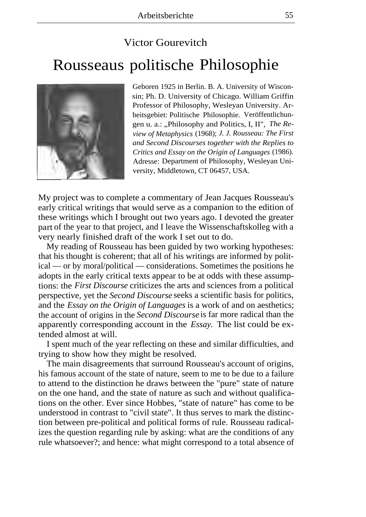## Victor Gourevitch Rousseaus politische Philosophie



Geboren 1925 in Berlin. B. A. University of Wisconsin; Ph. D. University of Chicago. William Griffin Professor of Philosophy, Wesleyan University. Arbeitsgebiet: Politische Philosophie. Veröffentlichungen u. a.: "Philosophy and Politics, I, II", *The Review of Metaphysics* (1968); *J. J. Rousseau: The First and Second Discourses together with the Replies to Critics and Essay on the Origin of Languages* (1986). Adresse: Department of Philosophy, Wesleyan University, Middletown, CT 06457, USA.

My project was to complete a commentary of Jean Jacques Rousseau's early critical writings that would serve as a companion to the edition of these writings which I brought out two years ago. I devoted the greater part of the year to that project, and I leave the Wissenschaftskolleg with a very nearly finished draft of the work I set out to do.

My reading of Rousseau has been guided by two working hypotheses: that his thought is coherent; that all of his writings are informed by political — or by moral/political — considerations. Sometimes the positions he adopts in the early critical texts appear to be at odds with these assumptions: the *First Discourse* criticizes the arts and sciences from a political perspective, yet the *Second Discourse* seeks a scientific basis for politics, and the *Essay on the Origin of Languages* is a work of and on aesthetics; the account of origins in the *Second Discourse* is far more radical than the apparently corresponding account in the *Essay.* The list could be extended almost at will.

I spent much of the year reflecting on these and similar difficulties, and trying to show how they might be resolved.

The main disagreements that surround Rousseau's account of origins, his famous account of the state of nature, seem to me to be due to a failure to attend to the distinction he draws between the "pure" state of nature on the one hand, and the state of nature as such and without qualifications on the other. Ever since Hobbes, "state of nature" has come to be understood in contrast to "civil state". It thus serves to mark the distinction between pre-political and political forms of rule. Rousseau radicalizes the question regarding rule by asking: what are the conditions of any rule whatsoever?; and hence: what might correspond to a total absence of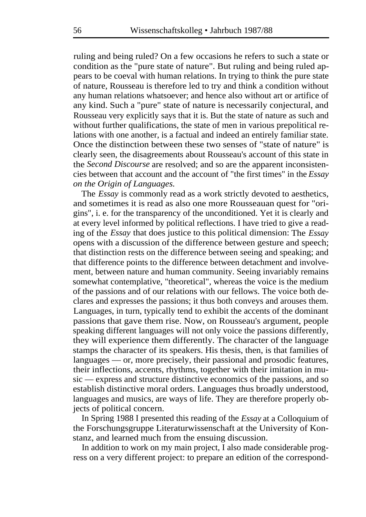ruling and being ruled? On a few occasions he refers to such a state or condition as the "pure state of nature". But ruling and being ruled appears to be coeval with human relations. In trying to think the pure state of nature, Rousseau is therefore led to try and think a condition without any human relations whatsoever; and hence also without art or artifice of any kind. Such a "pure" state of nature is necessarily conjectural, and Rousseau very explicitly says that it is. But the state of nature as such and without further qualifications, the state of men in various prepolitical relations with one another, is a factual and indeed an entirely familiar state. Once the distinction between these two senses of "state of nature" is clearly seen, the disagreements about Rousseau's account of this state in the *Second Discourse* are resolved; and so are the apparent inconsistencies between that account and the account of "the first times" in the *Essay on the Origin of Languages.* 

The *Essay* is commonly read as a work strictly devoted to aesthetics, and sometimes it is read as also one more Rousseauan quest for "origins", i. e. for the transparency of the unconditioned. Yet it is clearly and at every level informed by political reflections. I have tried to give a reading of the *Essay* that does justice to this political dimension: The *Essay*  opens with a discussion of the difference between gesture and speech; that distinction rests on the difference between seeing and speaking; and that difference points to the difference between detachment and involvement, between nature and human community. Seeing invariably remains somewhat contemplative, "theoretical", whereas the voice is the medium of the passions and of our relations with our fellows. The voice both declares and expresses the passions; it thus both conveys and arouses them. Languages, in turn, typically tend to exhibit the accents of the dominant passions that gave them rise. Now, on Rousseau's argument, people speaking different languages will not only voice the passions differently, they will experience them differently. The character of the language stamps the character of its speakers. His thesis, then, is that families of languages — or, more precisely, their passional and prosodic features, their inflections, accents, rhythms, together with their imitation in music — express and structure distinctive economics of the passions, and so establish distinctive moral orders. Languages thus broadly understood, languages and musics, are ways of life. They are therefore properly objects of political concern.

In Spring 1988 I presented this reading of the *Essay* at a Colloquium of the Forschungsgruppe Literaturwissenschaft at the University of Konstanz, and learned much from the ensuing discussion.

In addition to work on my main project, I also made considerable progress on a very different project: to prepare an edition of the correspond-